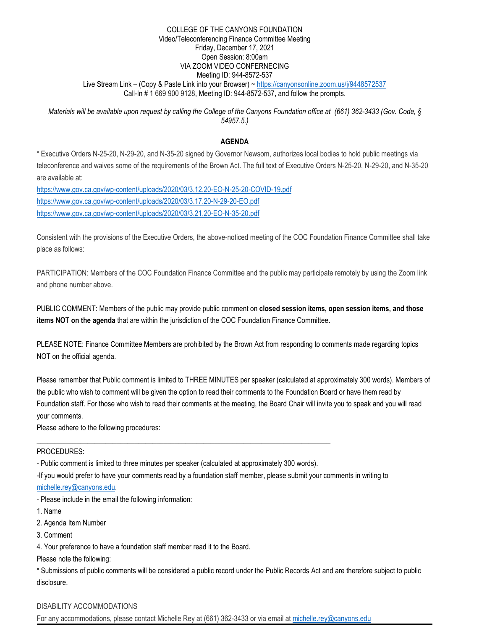### COLLEGE OF THE CANYONS FOUNDATION Video/Teleconferencing Finance Committee Meeting Friday, December 17, 2021 Open Session: 8:00am VIA ZOOM VIDEO CONFERNECING Meeting ID: 944-8572-537 Live Stream Link - (Copy & Paste Link into your Browser) ~<https://canyonsonline.zoom.us/j/9448572537> Call-In # 1 669 900 9128, Meeting ID: 944-8572-537, and follow the prompts.

*Materials will be available upon request by calling the College of the Canyons Foundation office at (661) 362-3433 (Gov. Code, § 54957.5.)*

## **AGENDA**

\* Executive Orders N-25-20, N-29-20, and N-35-20 signed by Governor Newsom, authorizes local bodies to hold public meetings via teleconference and waives some of the requirements of the Brown Act. The full text of Executive Orders N-25-20, N-29-20, and N-35-20 are available at:

<https://www.gov.ca.gov/wp-content/uploads/2020/03/3.12.20-EO-N-25-20-COVID-19.pdf> <https://www.gov.ca.gov/wp-content/uploads/2020/03/3.17.20-N-29-20-EO.pdf> <https://www.gov.ca.gov/wp-content/uploads/2020/03/3.21.20-EO-N-35-20.pdf>

Consistent with the provisions of the Executive Orders, the above-noticed meeting of the COC Foundation Finance Committee shall take place as follows:

PARTICIPATION: Members of the COC Foundation Finance Committee and the public may participate remotely by using the Zoom link and phone number above.

PUBLIC COMMENT: Members of the public may provide public comment on **closed session items, open session items, and those items NOT on the agenda** that are within the jurisdiction of the COC Foundation Finance Committee.

PLEASE NOTE: Finance Committee Members are prohibited by the Brown Act from responding to comments made regarding topics NOT on the official agenda.

Please remember that Public comment is limited to THREE MINUTES per speaker (calculated at approximately 300 words). Members of the public who wish to comment will be given the option to read their comments to the Foundation Board or have them read by Foundation staff. For those who wish to read their comments at the meeting, the Board Chair will invite you to speak and you will read your comments.

Please adhere to the following procedures:

### PROCEDURES:

- Public comment is limited to three minutes per speaker (calculated at approximately 300 words).

\_\_\_\_\_\_\_\_\_\_\_\_\_\_\_\_\_\_\_\_\_\_\_\_\_\_\_\_\_\_\_\_\_\_\_\_\_\_\_\_\_\_\_\_\_\_\_\_\_\_\_\_\_\_\_\_\_\_\_\_\_\_\_\_\_\_\_\_\_\_\_\_\_\_\_\_\_\_\_\_\_

-If you would prefer to have your comments read by a foundation staff member, please submit your comments in writing to

[michelle.rey@canyons.edu.](mailto:michelle.rey@canyons.edu)

- Please include in the email the following information:

- 1. Name
- 2. Agenda Item Number
- 3. Comment

4. Your preference to have a foundation staff member read it to the Board.

Please note the following:

\* Submissions of public comments will be considered a public record under the Public Records Act and are therefore subject to public disclosure.

# DISABILITY ACCOMMODATIONS

For any accommodations, please contact Michelle Rey at (661) 362-3433 or via email at [michelle.rey@canyons.edu](mailto:michelle.rey@canyons.edu)